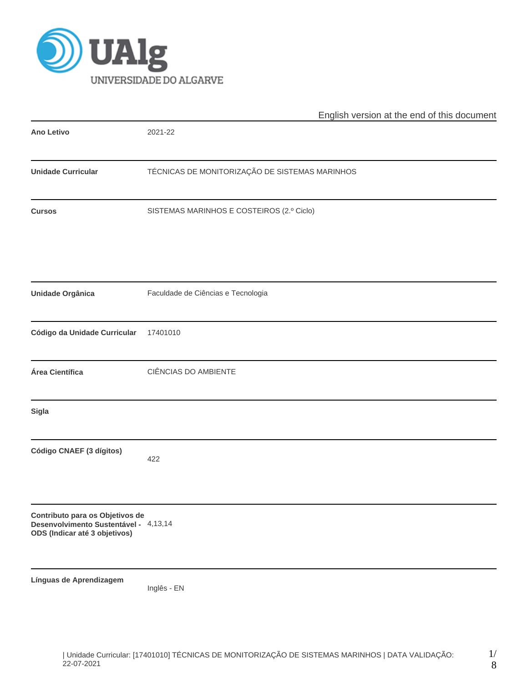

|                                                                                                           | English version at the end of this document    |  |  |  |  |  |  |  |
|-----------------------------------------------------------------------------------------------------------|------------------------------------------------|--|--|--|--|--|--|--|
| <b>Ano Letivo</b>                                                                                         | 2021-22                                        |  |  |  |  |  |  |  |
| <b>Unidade Curricular</b>                                                                                 | TÉCNICAS DE MONITORIZAÇÃO DE SISTEMAS MARINHOS |  |  |  |  |  |  |  |
| <b>Cursos</b>                                                                                             | SISTEMAS MARINHOS E COSTEIROS (2.º Ciclo)      |  |  |  |  |  |  |  |
| <b>Unidade Orgânica</b>                                                                                   | Faculdade de Ciências e Tecnologia             |  |  |  |  |  |  |  |
| Código da Unidade Curricular                                                                              | 17401010                                       |  |  |  |  |  |  |  |
| Área Científica                                                                                           | CIÊNCIAS DO AMBIENTE                           |  |  |  |  |  |  |  |
| Sigla                                                                                                     |                                                |  |  |  |  |  |  |  |
| Código CNAEF (3 dígitos)                                                                                  | 422                                            |  |  |  |  |  |  |  |
| Contributo para os Objetivos de<br>Desenvolvimento Sustentável - 4,13,14<br>ODS (Indicar até 3 objetivos) |                                                |  |  |  |  |  |  |  |
| Línguas de Aprendizagem                                                                                   | Inglês - EN                                    |  |  |  |  |  |  |  |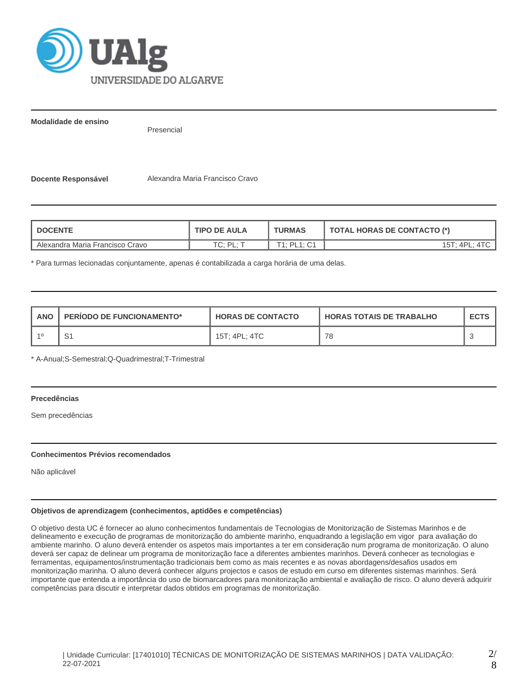

**Modalidade de ensino**

Presencial

**Docente Responsável** Alexandra Maria Francisco Cravo

| <b>DOCENTE</b>                  | <b>TIPO DE AULA</b> | <b>TURMAS</b>           | <b>TOTAL HORAS DE CONTACTO (*)</b> |  |  |
|---------------------------------|---------------------|-------------------------|------------------------------------|--|--|
| Alexandra Maria Francisco Cravo | ∴ ום ּי∩ד           | $T1 \cdot P11 \cdot C1$ | 15T: 4PL:                          |  |  |

\* Para turmas lecionadas conjuntamente, apenas é contabilizada a carga horária de uma delas.

| <b>ANO</b> | <b>PERIODO DE FUNCIONAMENTO*</b> | <b>HORAS DE CONTACTO</b> | <b>HORAS TOTAIS DE TRABALHO</b> | <b>ECTS</b> |
|------------|----------------------------------|--------------------------|---------------------------------|-------------|
|            | ا ب                              | 15T; 4PL; 4TC            | 78                              |             |

\* A-Anual;S-Semestral;Q-Quadrimestral;T-Trimestral

# **Precedências**

Sem precedências

# **Conhecimentos Prévios recomendados**

Não aplicável

# **Objetivos de aprendizagem (conhecimentos, aptidões e competências)**

O objetivo desta UC é fornecer ao aluno conhecimentos fundamentais de Tecnologias de Monitorização de Sistemas Marinhos e de delineamento e execução de programas de monitorização do ambiente marinho, enquadrando a legislação em vigor para avaliação do ambiente marinho. O aluno deverá entender os aspetos mais importantes a ter em consideração num programa de monitorização. O aluno deverá ser capaz de delinear um programa de monitorização face a diferentes ambientes marinhos. Deverá conhecer as tecnologias e ferramentas, equipamentos/instrumentação tradicionais bem como as mais recentes e as novas abordagens/desafios usados em monitorização marinha. O aluno deverá conhecer alguns projectos e casos de estudo em curso em diferentes sistemas marinhos. Será importante que entenda a importância do uso de biomarcadores para monitorização ambiental e avaliação de risco. O aluno deverá adquirir competências para discutir e interpretar dados obtidos em programas de monitorização.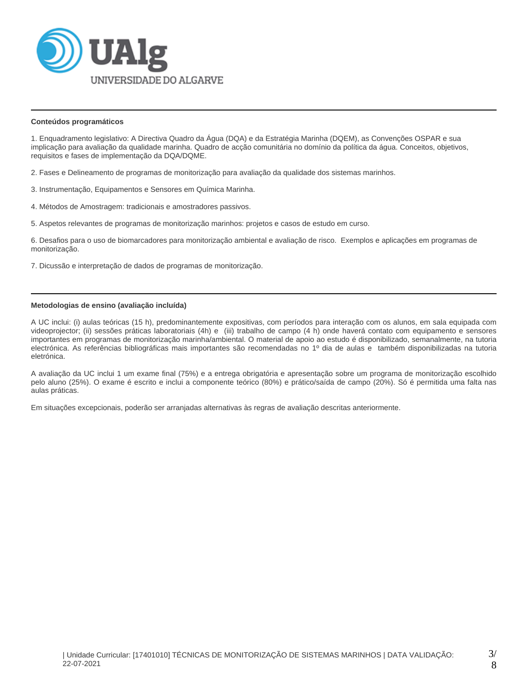

#### **Conteúdos programáticos**

1. Enquadramento legislativo: A Directiva Quadro da Água (DQA) e da Estratégia Marinha (DQEM), as Convenções OSPAR e sua implicação para avaliação da qualidade marinha. Quadro de acção comunitária no domínio da política da água. Conceitos, objetivos, requisitos e fases de implementação da DQA/DQME.

2. Fases e Delineamento de programas de monitorização para avaliação da qualidade dos sistemas marinhos.

- 3. Instrumentação, Equipamentos e Sensores em Química Marinha.
- 4. Métodos de Amostragem: tradicionais e amostradores passivos.
- 5. Aspetos relevantes de programas de monitorização marinhos: projetos e casos de estudo em curso.

6. Desafios para o uso de biomarcadores para monitorização ambiental e avaliação de risco. Exemplos e aplicações em programas de monitorização.

7. Dicussão e interpretação de dados de programas de monitorização.

# **Metodologias de ensino (avaliação incluída)**

A UC inclui: (i) aulas teóricas (15 h), predominantemente expositivas, com períodos para interação com os alunos, em sala equipada com videoprojector; (ii) sessões práticas laboratoriais (4h) e (iii) trabalho de campo (4 h) onde haverá contato com equipamento e sensores importantes em programas de monitorização marinha/ambiental. O material de apoio ao estudo é disponibilizado, semanalmente, na tutoria electrónica. As referências bibliográficas mais importantes são recomendadas no 1º dia de aulas e também disponibilizadas na tutoria eletrónica.

A avaliação da UC inclui 1 um exame final (75%) e a entrega obrigatória e apresentação sobre um programa de monitorização escolhido pelo aluno (25%). O exame é escrito e inclui a componente teórico (80%) e prático/saída de campo (20%). Só é permitida uma falta nas aulas práticas.

Em situações excepcionais, poderão ser arranjadas alternativas às regras de avaliação descritas anteriormente.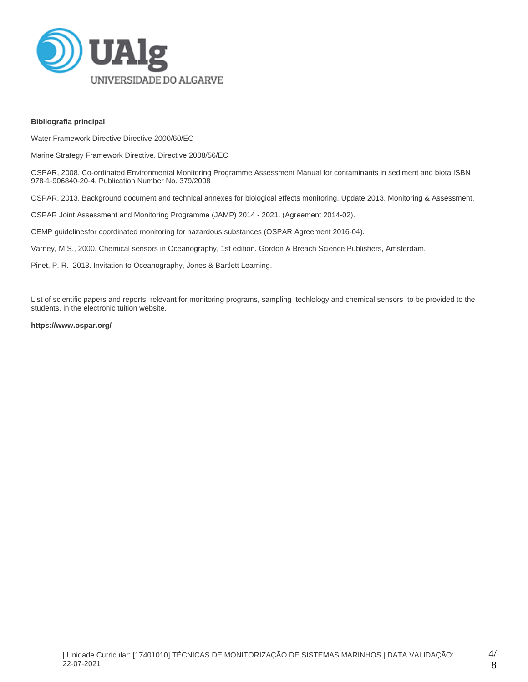

# **Bibliografia principal**

Water Framework Directive Directive 2000/60/EC

Marine Strategy Framework Directive. Directive 2008/56/EC

OSPAR, 2008. Co-ordinated Environmental Monitoring Programme Assessment Manual for contaminants in sediment and biota ISBN 978-1-906840-20-4. Publication Number No. 379/2008

OSPAR, 2013. Background document and technical annexes for biological effects monitoring, Update 2013. Monitoring & Assessment.

OSPAR Joint Assessment and Monitoring Programme (JAMP) 2014 - 2021. (Agreement 2014-02).

CEMP guidelinesfor coordinated monitoring for hazardous substances (OSPAR Agreement 2016-04).

Varney, M.S., 2000. Chemical sensors in Oceanography, 1st edition. Gordon & Breach Science Publishers, Amsterdam.

Pinet, P. R. 2013. Invitation to Oceanography, Jones & Bartlett Learning.

List of scientific papers and reports relevant for monitoring programs, sampling techlology and chemical sensors to be provided to the students, in the electronic tuition website.

# **https://www.ospar.org/**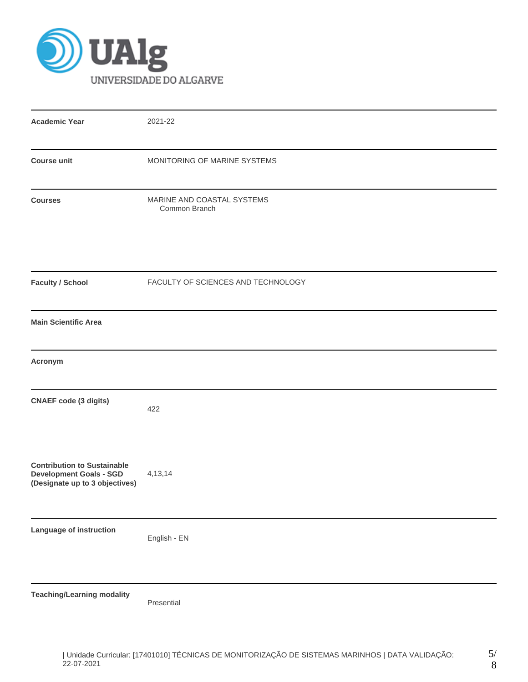

| <b>Academic Year</b>                                                                                   | 2021-22                                     |
|--------------------------------------------------------------------------------------------------------|---------------------------------------------|
| <b>Course unit</b>                                                                                     | MONITORING OF MARINE SYSTEMS                |
| <b>Courses</b>                                                                                         | MARINE AND COASTAL SYSTEMS<br>Common Branch |
| <b>Faculty / School</b>                                                                                | FACULTY OF SCIENCES AND TECHNOLOGY          |
| <b>Main Scientific Area</b>                                                                            |                                             |
| Acronym                                                                                                |                                             |
| <b>CNAEF</b> code (3 digits)                                                                           | 422                                         |
| <b>Contribution to Sustainable</b><br><b>Development Goals - SGD</b><br>(Designate up to 3 objectives) | 4, 13, 14                                   |
| Language of instruction                                                                                | English - EN                                |
| <b>Teaching/Learning modality</b>                                                                      | Presential                                  |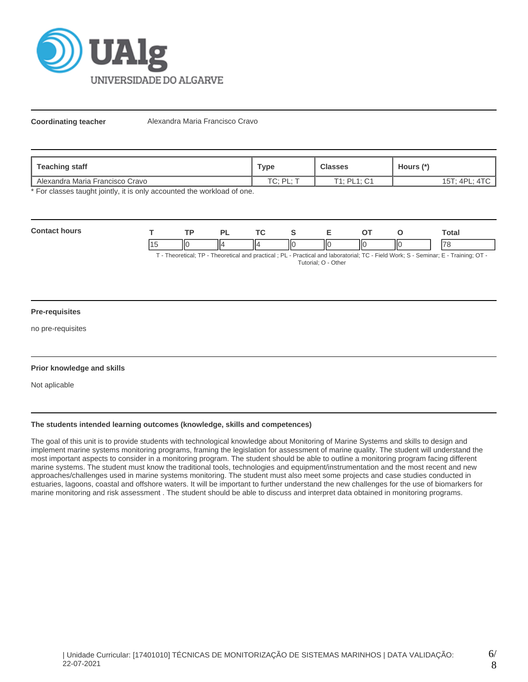

**Coordinating teacher** Alexandra Maria Francisco Cravo

| Teaching staff                  | Type                       | <b>Classes</b>                 | Hours (*)       |
|---------------------------------|----------------------------|--------------------------------|-----------------|
| Alexandra Maria Francisco Cravo | TC · DI · "<br>$\sim$<br>. | $T1.$ DI $1.$ $C1$<br>◡<br>- - | $15T$ ; $4PL$ ; |

\* For classes taught jointly, it is only accounted the workload of one.

| Contac<br><b>MIFC</b> |    | то |    | $-2$ |   |    |     |    | Total |
|-----------------------|----|----|----|------|---|----|-----|----|-------|
|                       | II |    | ١Ľ |      | Ш | ШΟ | IІC | IЮ | '70   |

T - Theoretical; TP - Theoretical and practical ; PL - Practical and laboratorial; TC - Field Work; S - Seminar; E - Training; OT - Tutorial; O - Other

#### **Pre-requisites**

no pre-requisites

# **Prior knowledge and skills**

Not aplicable

# **The students intended learning outcomes (knowledge, skills and competences)**

The goal of this unit is to provide students with technological knowledge about Monitoring of Marine Systems and skills to design and implement marine systems monitoring programs, framing the legislation for assessment of marine quality. The student will understand the most important aspects to consider in a monitoring program. The student should be able to outline a monitoring program facing different marine systems. The student must know the traditional tools, technologies and equipment/instrumentation and the most recent and new approaches/challenges used in marine systems monitoring. The student must also meet some projects and case studies conducted in estuaries, lagoons, coastal and offshore waters. It will be important to further understand the new challenges for the use of biomarkers for marine monitoring and risk assessment . The student should be able to discuss and interpret data obtained in monitoring programs.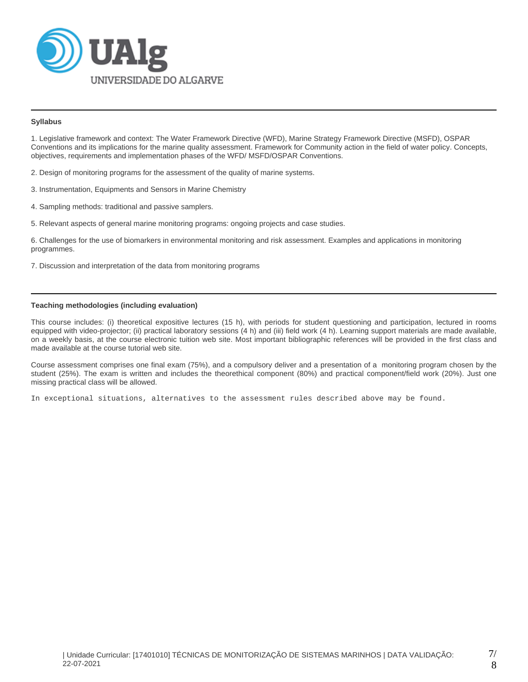

# **Syllabus**

1. Legislative framework and context: The Water Framework Directive (WFD), Marine Strategy Framework Directive (MSFD), OSPAR Conventions and its implications for the marine quality assessment. Framework for Community action in the field of water policy. Concepts, objectives, requirements and implementation phases of the WFD/ MSFD/OSPAR Conventions.

2. Design of monitoring programs for the assessment of the quality of marine systems.

- 3. Instrumentation, Equipments and Sensors in Marine Chemistry
- 4. Sampling methods: traditional and passive samplers.
- 5. Relevant aspects of general marine monitoring programs: ongoing projects and case studies.

6. Challenges for the use of biomarkers in environmental monitoring and risk assessment. Examples and applications in monitoring programmes.

7. Discussion and interpretation of the data from monitoring programs

## **Teaching methodologies (including evaluation)**

This course includes: (i) theoretical expositive lectures (15 h), with periods for student questioning and participation, lectured in rooms equipped with video-projector; (ii) practical laboratory sessions (4 h) and (iii) field work (4 h). Learning support materials are made available, on a weekly basis, at the course electronic tuition web site. Most important bibliographic references will be provided in the first class and made available at the course tutorial web site.

Course assessment comprises one final exam (75%), and a compulsory deliver and a presentation of a monitoring program chosen by the student (25%). The exam is written and includes the theorethical component (80%) and practical component/field work (20%). Just one missing practical class will be allowed.

In exceptional situations, alternatives to the assessment rules described above may be found.